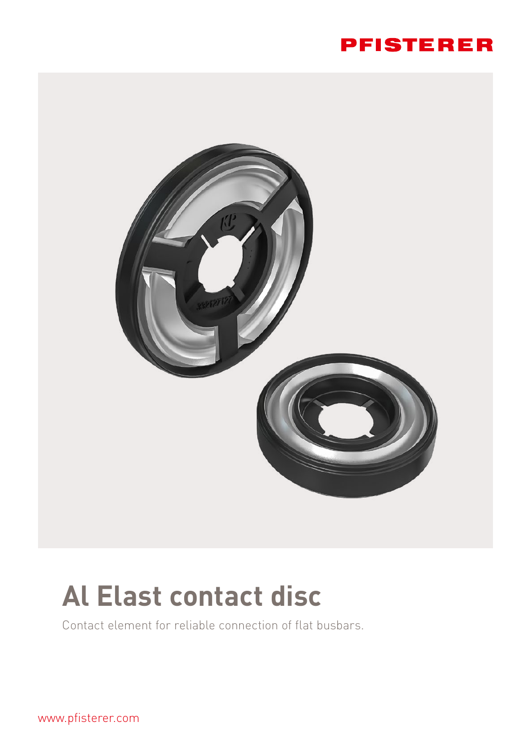



# **Al Elast contact disc**

Contact element for reliable connection of flat busbars.

www.pfisterer.com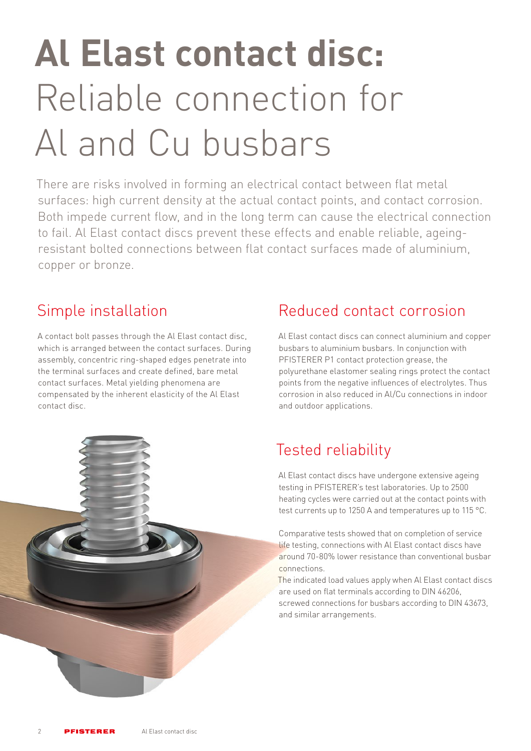# **Al Elast contact disc:**  Reliable connection for Al and Cu busbars

There are risks involved in forming an electrical contact between flat metal surfaces: high current density at the actual contact points, and contact corrosion. Both impede current flow, and in the long term can cause the electrical connection to fail. Al Elast contact discs prevent these effects and enable reliable, ageingresistant bolted connections between flat contact surfaces made of aluminium, copper or bronze.

# Simple installation

A contact bolt passes through the Al Elast contact disc, which is arranged between the contact surfaces. During assembly, concentric ring-shaped edges penetrate into the terminal surfaces and create defined, bare metal contact surfaces. Metal yielding phenomena are compensated by the inherent elasticity of the Al Elast contact disc.

## Reduced contact corrosion

Al Elast contact discs can connect aluminium and copper busbars to aluminium busbars. In conjunction with PFISTERER P1 contact protection grease, the polyurethane elastomer sealing rings protect the contact points from the negative influences of electrolytes. Thus corrosion in also reduced in Al/Cu connections in indoor and outdoor applications.

# Tested reliability

Al Elast contact discs have undergone extensive ageing testing in PFISTERER's test laboratories. Up to 2500 heating cycles were carried out at the contact points with test currents up to 1250 A and temperatures up to 115 °C.

Comparative tests showed that on completion of service life testing, connections with Al Elast contact discs have around 70-80% lower resistance than conventional busbar connections.

The indicated load values apply when Al Elast contact discs are used on flat terminals according to DIN 46206, screwed connections for busbars according to DIN 43673, and similar arrangements.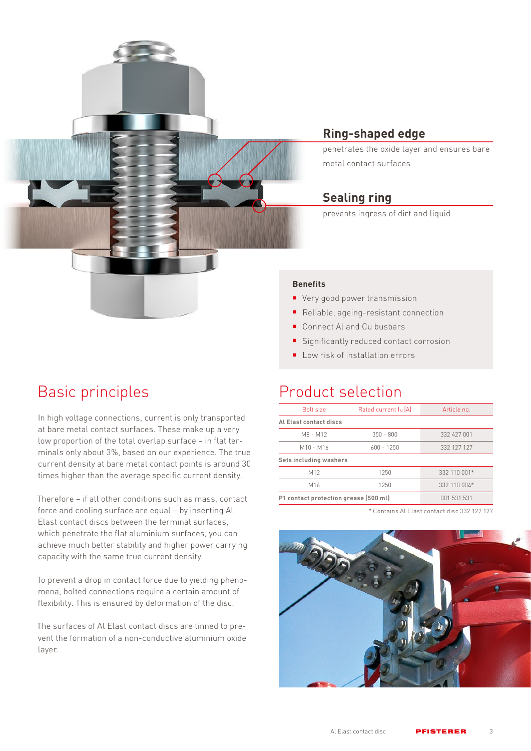

#### **Ring-shaped edge**

penetrates the oxide layer and ensures bare metal contact surfaces

#### **Sealing ring**

prevents ingress of dirt and liquid

#### **Benefits**

- **Very good power transmission**
- Reliable, ageing-resistant connection
- Connect Al and Cu busbars
- Significantly reduced contact corrosion
- **Low risk of installation errors**

### Product selection

| <b>Bolt size</b>                      | Rated current I <sub>N</sub> [A] | Article no.  |
|---------------------------------------|----------------------------------|--------------|
| Al Elast contact discs                |                                  |              |
| M8 - M12                              | $350 - 800$                      | 332 427 001  |
| $M10 - M16$                           | $600 - 1250$                     | 332 127 127  |
| Sets including washers                |                                  |              |
| M12                                   | 1250                             | 332 110 001* |
| M <sub>16</sub>                       | 1250                             | 332 110 004* |
| P1 contact protection grease (500 ml) |                                  | 001 531 531  |

\* Contains Al Elast contact disc 332 127 127



# Basic principles

In high voltage connections, current is only transported at bare metal contact surfaces. These make up a very low proportion of the total overlap surface – in flat terminals only about 3%, based on our experience. The true current density at bare metal contact points is around 30 times higher than the average specific current density.

Therefore – if all other conditions such as mass, contact force and cooling surface are equal – by inserting Al Elast contact discs between the terminal surfaces, which penetrate the flat aluminium surfaces, you can achieve much better stability and higher power carrying capacity with the same true current density.

To prevent a drop in contact force due to yielding phenomena, bolted connections require a certain amount of flexibility. This is ensured by deformation of the disc.

The surfaces of Al Elast contact discs are tinned to prevent the formation of a non-conductive aluminium oxide layer.